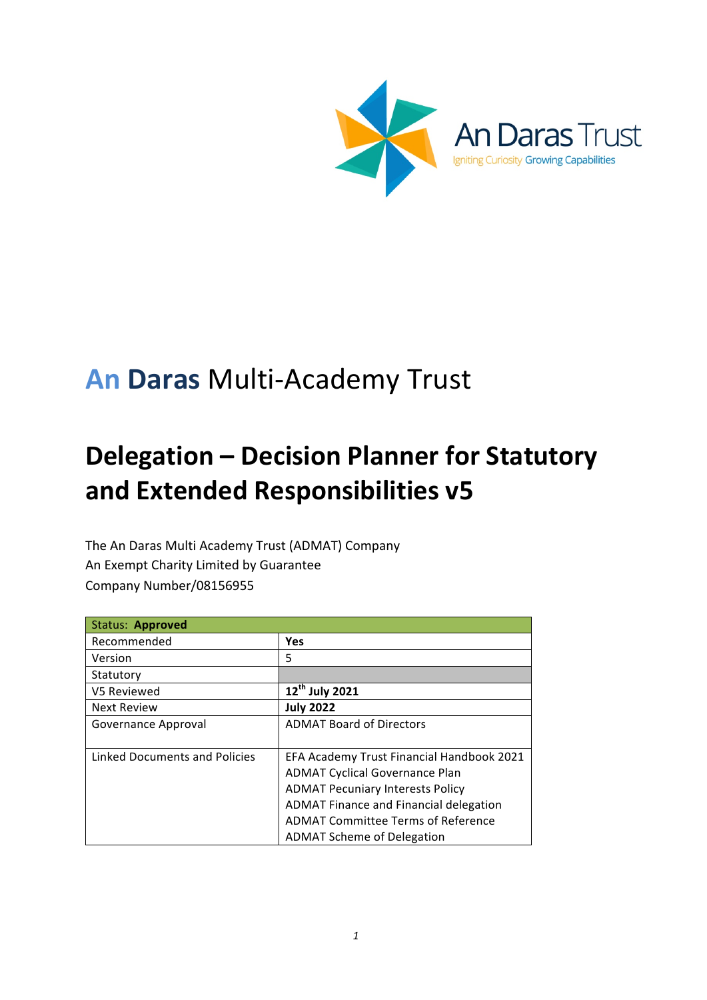

# **An Daras** Multi-Academy Trust

# **Delegation - Decision Planner for Statutory and Extended Responsibilities v5**

The An Daras Multi Academy Trust (ADMAT) Company An Exempt Charity Limited by Guarantee Company Number/08156955

| <b>Status: Approved</b>       |                                           |
|-------------------------------|-------------------------------------------|
| Recommended                   | <b>Yes</b>                                |
| Version                       | 5                                         |
| Statutory                     |                                           |
| V5 Reviewed                   | 12 <sup>th</sup> July 2021                |
| <b>Next Review</b>            | <b>July 2022</b>                          |
| Governance Approval           | <b>ADMAT Board of Directors</b>           |
|                               |                                           |
| Linked Documents and Policies | EFA Academy Trust Financial Handbook 2021 |
|                               | <b>ADMAT Cyclical Governance Plan</b>     |
|                               | <b>ADMAT Pecuniary Interests Policy</b>   |
|                               | ADMAT Finance and Financial delegation    |
|                               | <b>ADMAT Committee Terms of Reference</b> |
|                               | <b>ADMAT Scheme of Delegation</b>         |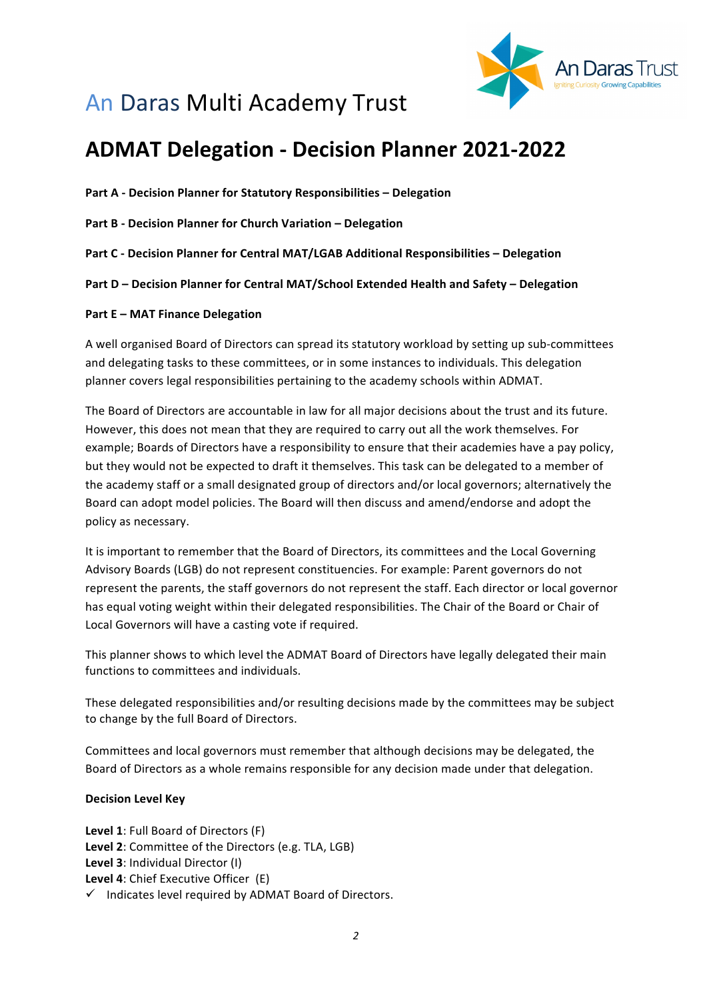

## An Daras Multi Academy Trust

## **ADMAT Delegation - Decision Planner 2021-2022**

**Part A - Decision Planner for Statutory Responsibilities – Delegation**

**Part B - Decision Planner for Church Variation – Delegation** 

**Part C - Decision Planner for Central MAT/LGAB Additional Responsibilities - Delegation** 

**Part D** – Decision Planner for Central MAT/School Extended Health and Safety – Delegation

#### **Part E – MAT Finance Delegation**

A well organised Board of Directors can spread its statutory workload by setting up sub-committees and delegating tasks to these committees, or in some instances to individuals. This delegation planner covers legal responsibilities pertaining to the academy schools within ADMAT.

The Board of Directors are accountable in law for all major decisions about the trust and its future. However, this does not mean that they are required to carry out all the work themselves. For example; Boards of Directors have a responsibility to ensure that their academies have a pay policy, but they would not be expected to draft it themselves. This task can be delegated to a member of the academy staff or a small designated group of directors and/or local governors; alternatively the Board can adopt model policies. The Board will then discuss and amend/endorse and adopt the policy as necessary.

It is important to remember that the Board of Directors, its committees and the Local Governing Advisory Boards (LGB) do not represent constituencies. For example: Parent governors do not represent the parents, the staff governors do not represent the staff. Each director or local governor has equal voting weight within their delegated responsibilities. The Chair of the Board or Chair of Local Governors will have a casting vote if required.

This planner shows to which level the ADMAT Board of Directors have legally delegated their main functions to committees and individuals.

These delegated responsibilities and/or resulting decisions made by the committees may be subject to change by the full Board of Directors.

Committees and local governors must remember that although decisions may be delegated, the Board of Directors as a whole remains responsible for any decision made under that delegation.

#### **Decision Level Key**

Level 1: Full Board of Directors (F) Level 2: Committee of the Directors (e.g. TLA, LGB) Level 3: Individual Director (I) Level 4: Chief Executive Officer (E)  $\checkmark$  Indicates level required by ADMAT Board of Directors.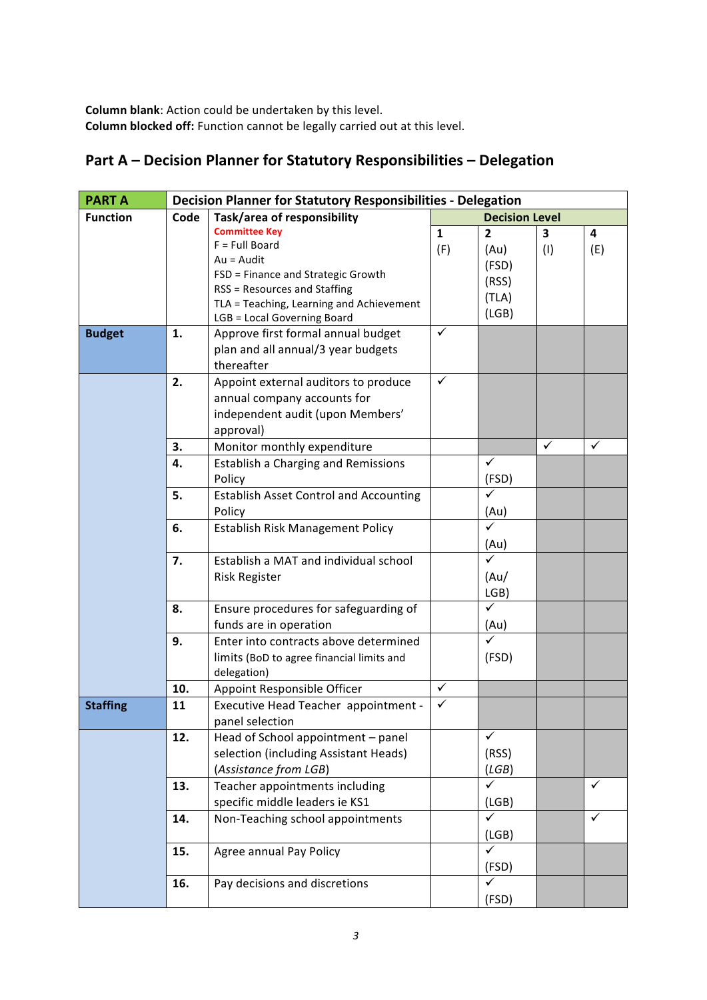**Column blank**: Action could be undertaken by this level. **Column blocked off:** Function cannot be legally carried out at this level.

### **Part A – Decision Planner for Statutory Responsibilities – Delegation**

| <b>PART A</b>   | <b>Decision Planner for Statutory Responsibilities - Delegation</b> |                                               |              |                       |                         |              |  |
|-----------------|---------------------------------------------------------------------|-----------------------------------------------|--------------|-----------------------|-------------------------|--------------|--|
| <b>Function</b> | Code                                                                | Task/area of responsibility                   |              | <b>Decision Level</b> |                         |              |  |
|                 |                                                                     | <b>Committee Key</b>                          | $\mathbf{1}$ | $\overline{2}$        | $\overline{\mathbf{3}}$ | 4            |  |
|                 |                                                                     | $F = Full Board$                              | (F)          | (Au)                  | (1)                     | (E)          |  |
|                 |                                                                     | $Au = Audit$                                  |              | (FSD)                 |                         |              |  |
|                 |                                                                     | FSD = Finance and Strategic Growth            |              | (RSS)                 |                         |              |  |
|                 |                                                                     | <b>RSS = Resources and Staffing</b>           |              | (TLA)                 |                         |              |  |
|                 |                                                                     | TLA = Teaching, Learning and Achievement      |              | (LGB)                 |                         |              |  |
|                 |                                                                     | LGB = Local Governing Board                   |              |                       |                         |              |  |
| <b>Budget</b>   | 1.                                                                  | Approve first formal annual budget            | ✓            |                       |                         |              |  |
|                 |                                                                     | plan and all annual/3 year budgets            |              |                       |                         |              |  |
|                 |                                                                     | thereafter                                    |              |                       |                         |              |  |
|                 | 2.                                                                  | Appoint external auditors to produce          | $\checkmark$ |                       |                         |              |  |
|                 |                                                                     | annual company accounts for                   |              |                       |                         |              |  |
|                 |                                                                     | independent audit (upon Members'              |              |                       |                         |              |  |
|                 |                                                                     | approval)                                     |              |                       |                         |              |  |
|                 | 3.                                                                  | Monitor monthly expenditure                   |              |                       | $\checkmark$            | ✓            |  |
|                 | 4.                                                                  | <b>Establish a Charging and Remissions</b>    |              | $\checkmark$          |                         |              |  |
|                 |                                                                     | Policy                                        |              | (FSD)                 |                         |              |  |
|                 | 5.                                                                  | <b>Establish Asset Control and Accounting</b> |              | $\checkmark$          |                         |              |  |
|                 |                                                                     | Policy                                        |              | (Au)                  |                         |              |  |
|                 | 6.                                                                  | Establish Risk Management Policy              |              | ✓                     |                         |              |  |
|                 |                                                                     |                                               |              | (Au)                  |                         |              |  |
|                 | 7.                                                                  | Establish a MAT and individual school         |              | $\checkmark$          |                         |              |  |
|                 |                                                                     | <b>Risk Register</b>                          |              | (Au)                  |                         |              |  |
|                 |                                                                     |                                               |              | LGB)                  |                         |              |  |
|                 | 8.                                                                  | Ensure procedures for safeguarding of         |              | ✓                     |                         |              |  |
|                 |                                                                     | funds are in operation                        |              | (Au)                  |                         |              |  |
|                 | 9.                                                                  | Enter into contracts above determined         |              |                       |                         |              |  |
|                 |                                                                     | limits (BoD to agree financial limits and     |              | (FSD)                 |                         |              |  |
|                 |                                                                     | delegation)                                   |              |                       |                         |              |  |
|                 | 10.                                                                 | Appoint Responsible Officer                   | $\checkmark$ |                       |                         |              |  |
| <b>Staffing</b> | 11                                                                  | Executive Head Teacher appointment -          | ✓            |                       |                         |              |  |
|                 |                                                                     | panel selection                               |              |                       |                         |              |  |
|                 | 12.                                                                 | Head of School appointment - panel            |              | $\checkmark$          |                         |              |  |
|                 |                                                                     | selection (including Assistant Heads)         |              | (RSS)                 |                         |              |  |
|                 |                                                                     | (Assistance from LGB)                         |              | (LGB)                 |                         |              |  |
|                 | 13.                                                                 | Teacher appointments including                |              | $\checkmark$          |                         | $\checkmark$ |  |
|                 |                                                                     | specific middle leaders ie KS1                |              | (LGB)                 |                         |              |  |
|                 | 14.                                                                 | Non-Teaching school appointments              |              | $\checkmark$          |                         | $\checkmark$ |  |
|                 |                                                                     |                                               |              | (LGB)                 |                         |              |  |
|                 | 15.                                                                 | Agree annual Pay Policy                       |              | $\checkmark$          |                         |              |  |
|                 |                                                                     |                                               |              | (FSD)                 |                         |              |  |
|                 | 16.                                                                 | Pay decisions and discretions                 |              | $\checkmark$          |                         |              |  |
|                 |                                                                     |                                               |              | (FSD)                 |                         |              |  |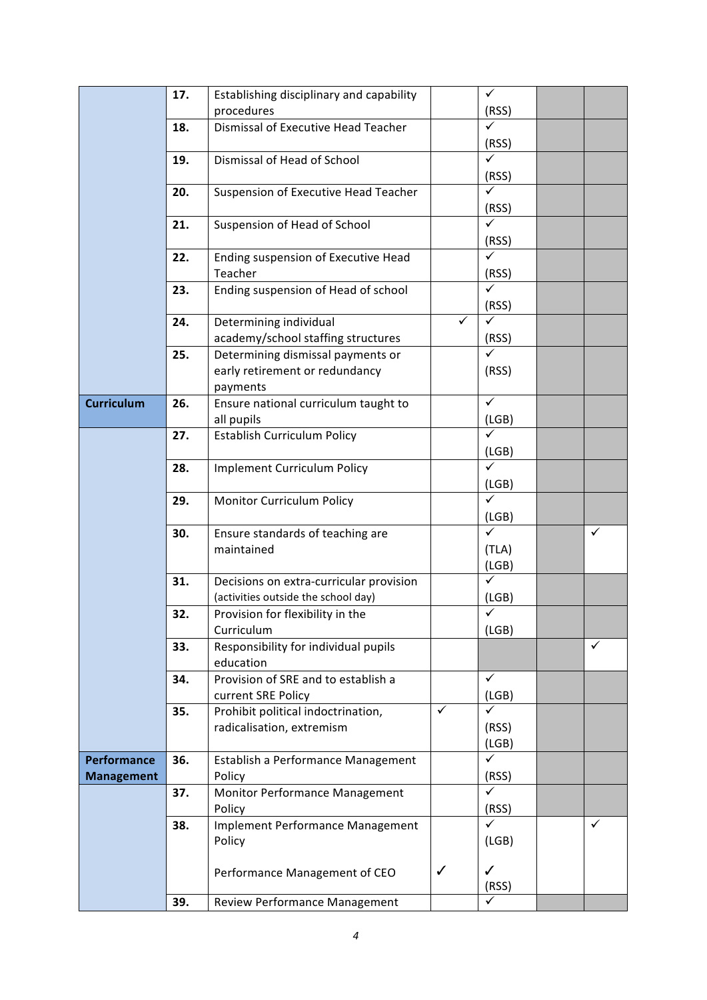|                    | 17. | Establishing disciplinary and capability |              | $\checkmark$ |   |
|--------------------|-----|------------------------------------------|--------------|--------------|---|
|                    |     | procedures                               |              | (RSS)        |   |
|                    | 18. | Dismissal of Executive Head Teacher      |              | $\checkmark$ |   |
|                    |     |                                          |              | (RSS)        |   |
|                    | 19. | Dismissal of Head of School              |              | $\checkmark$ |   |
|                    |     |                                          |              | (RSS)        |   |
|                    | 20. | Suspension of Executive Head Teacher     |              | ✓            |   |
|                    |     |                                          |              | (RSS)        |   |
|                    | 21. | Suspension of Head of School             |              | ✓            |   |
|                    |     |                                          |              | (RSS)        |   |
|                    | 22. | Ending suspension of Executive Head      |              | $\checkmark$ |   |
|                    |     | Teacher                                  |              | (RSS)        |   |
|                    | 23. | Ending suspension of Head of school      |              |              |   |
|                    |     |                                          |              | (RSS)        |   |
|                    | 24. | Determining individual                   | $\checkmark$ | ✓            |   |
|                    |     | academy/school staffing structures       |              | (RSS)        |   |
|                    | 25. | Determining dismissal payments or        |              | $\checkmark$ |   |
|                    |     | early retirement or redundancy           |              | (RSS)        |   |
|                    |     | payments                                 |              |              |   |
| <b>Curriculum</b>  | 26. | Ensure national curriculum taught to     |              | $\checkmark$ |   |
|                    |     | all pupils                               |              | (LGB)        |   |
|                    | 27. | <b>Establish Curriculum Policy</b>       |              | $\checkmark$ |   |
|                    |     |                                          |              | (LGB)        |   |
|                    | 28. | <b>Implement Curriculum Policy</b>       |              | $\checkmark$ |   |
|                    |     |                                          |              | (LGB)        |   |
|                    | 29. | Monitor Curriculum Policy                |              | $\sqrt{}$    |   |
|                    |     |                                          |              | (LGB)        |   |
|                    | 30. | Ensure standards of teaching are         |              | $\checkmark$ | ✓ |
|                    |     | maintained                               |              | (TLA)        |   |
|                    |     |                                          |              | (LGB)        |   |
|                    | 31. | Decisions on extra-curricular provision  |              | ✓            |   |
|                    |     | (activities outside the school day)      |              | (LGB)        |   |
|                    | 32. | Provision for flexibility in the         |              | $\checkmark$ |   |
|                    |     | Curriculum                               |              | (LGB)        |   |
|                    | 33. | Responsibility for individual pupils     |              |              | ✓ |
|                    |     | education                                |              |              |   |
|                    | 34. | Provision of SRE and to establish a      |              | $\checkmark$ |   |
|                    |     | current SRE Policy                       |              | (LGB)        |   |
|                    | 35. | Prohibit political indoctrination,       | $\checkmark$ |              |   |
|                    |     | radicalisation, extremism                |              | (RSS)        |   |
|                    |     |                                          |              | (LGB)        |   |
| <b>Performance</b> | 36. | Establish a Performance Management       |              | ✓            |   |
| <b>Management</b>  |     | Policy                                   |              | (RSS)        |   |
|                    | 37. | Monitor Performance Management           |              | $\checkmark$ |   |
|                    |     | Policy                                   |              | (RSS)        |   |
|                    | 38. | Implement Performance Management         |              | $\checkmark$ | ✓ |
|                    |     | Policy                                   |              | (LGB)        |   |
|                    |     |                                          |              |              |   |
|                    |     | Performance Management of CEO            | $\checkmark$ | $\checkmark$ |   |
|                    |     |                                          |              | (RSS)        |   |
|                    | 39. | Review Performance Management            |              | ✓            |   |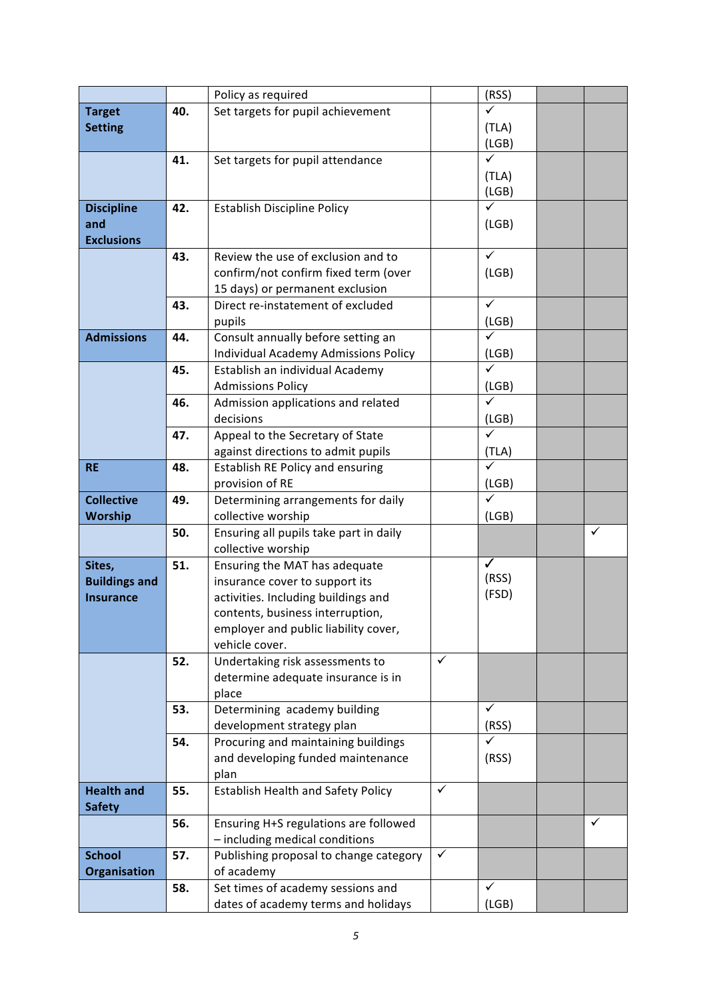|                      |     | Policy as required                                        |              | (RSS)        |   |
|----------------------|-----|-----------------------------------------------------------|--------------|--------------|---|
| <b>Target</b>        | 40. | Set targets for pupil achievement                         |              | ✓            |   |
| <b>Setting</b>       |     |                                                           |              | (TLA)        |   |
|                      |     |                                                           |              | (LGB)        |   |
|                      | 41. | Set targets for pupil attendance                          |              | $\checkmark$ |   |
|                      |     |                                                           |              | (TLA)        |   |
|                      |     |                                                           |              | (LGB)        |   |
| <b>Discipline</b>    | 42. | <b>Establish Discipline Policy</b>                        |              | ✓            |   |
| and                  |     |                                                           |              | (LGB)        |   |
| <b>Exclusions</b>    |     |                                                           |              |              |   |
|                      | 43. | Review the use of exclusion and to                        |              | $\checkmark$ |   |
|                      |     | confirm/not confirm fixed term (over                      |              | (LGB)        |   |
|                      |     | 15 days) or permanent exclusion                           |              |              |   |
|                      | 43. | Direct re-instatement of excluded                         |              | $\checkmark$ |   |
|                      |     | pupils                                                    |              | (LGB)        |   |
| <b>Admissions</b>    | 44. | Consult annually before setting an                        |              | $\checkmark$ |   |
|                      |     | Individual Academy Admissions Policy                      |              | (LGB)        |   |
|                      | 45. | Establish an individual Academy                           |              | $\checkmark$ |   |
|                      |     | <b>Admissions Policy</b>                                  |              | (LGB)        |   |
|                      | 46. | Admission applications and related                        |              | $\checkmark$ |   |
|                      |     | decisions                                                 |              | (LGB)        |   |
|                      | 47. | Appeal to the Secretary of State                          |              | ✓            |   |
|                      |     | against directions to admit pupils                        |              | (TLA)        |   |
| <b>RE</b>            | 48. | <b>Establish RE Policy and ensuring</b>                   |              | ✓            |   |
|                      |     | provision of RE                                           |              | (LGB)        |   |
| <b>Collective</b>    | 49. | Determining arrangements for daily                        |              | $\checkmark$ |   |
| Worship              |     | collective worship                                        |              | (LGB)        |   |
|                      | 50. | Ensuring all pupils take part in daily                    |              |              | ✓ |
|                      |     | collective worship                                        |              |              |   |
| Sites,               | 51. | Ensuring the MAT has adequate                             |              | $\checkmark$ |   |
| <b>Buildings and</b> |     | insurance cover to support its                            |              | (RSS)        |   |
| <b>Insurance</b>     |     | activities. Including buildings and                       |              | (FSD)        |   |
|                      |     | contents, business interruption,                          |              |              |   |
|                      |     | employer and public liability cover,                      |              |              |   |
|                      |     | vehicle cover.                                            |              |              |   |
|                      | 52. | Undertaking risk assessments to                           | ✓            |              |   |
|                      |     | determine adequate insurance is in                        |              |              |   |
|                      |     | place                                                     |              | $\checkmark$ |   |
|                      | 53. | Determining academy building<br>development strategy plan |              | (RSS)        |   |
|                      | 54. | Procuring and maintaining buildings                       |              | ✓            |   |
|                      |     | and developing funded maintenance                         |              | (RSS)        |   |
|                      |     | plan                                                      |              |              |   |
| <b>Health and</b>    | 55. | <b>Establish Health and Safety Policy</b>                 | $\checkmark$ |              |   |
| <b>Safety</b>        |     |                                                           |              |              |   |
|                      | 56. | Ensuring H+S regulations are followed                     |              |              | ✓ |
|                      |     | - including medical conditions                            |              |              |   |
| <b>School</b>        | 57. | Publishing proposal to change category                    | $\checkmark$ |              |   |
| Organisation         |     | of academy                                                |              |              |   |
|                      | 58. | Set times of academy sessions and                         |              | ✓            |   |
|                      |     | dates of academy terms and holidays                       |              | (LGB)        |   |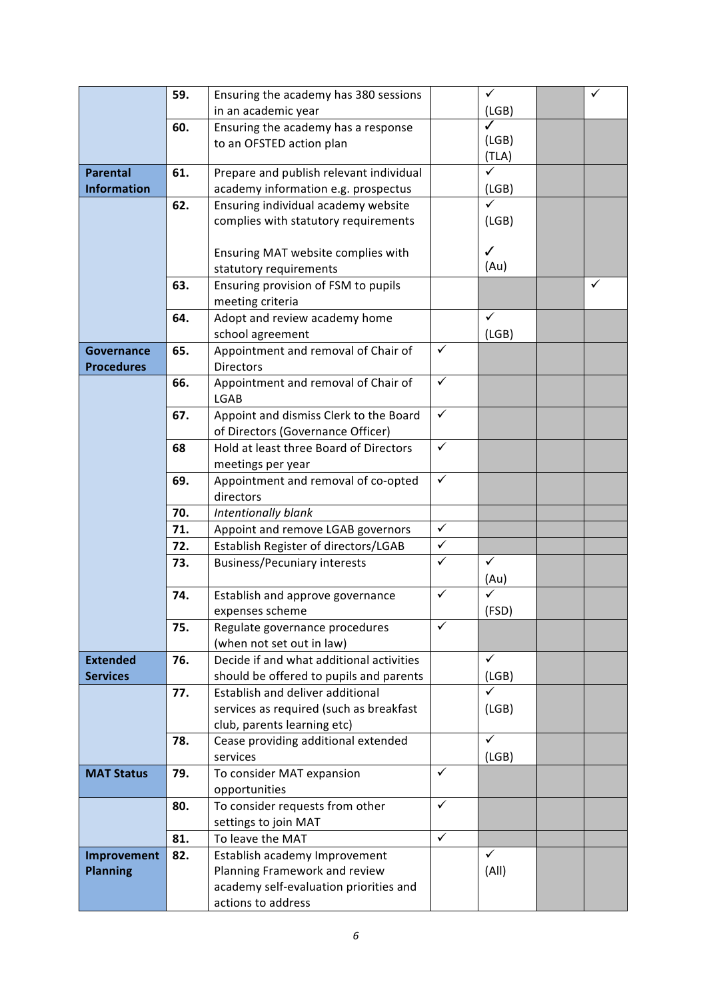|                                        | 59. | Ensuring the academy has 380 sessions                                 |              | $\checkmark$ | ✓ |
|----------------------------------------|-----|-----------------------------------------------------------------------|--------------|--------------|---|
|                                        |     | in an academic year                                                   |              | (LGB)        |   |
|                                        | 60. | Ensuring the academy has a response                                   |              | ✓            |   |
|                                        |     | to an OFSTED action plan                                              |              | (LGB)        |   |
|                                        |     |                                                                       |              | (TLA)        |   |
| <b>Parental</b>                        | 61. | Prepare and publish relevant individual                               |              | $\checkmark$ |   |
| <b>Information</b>                     |     | academy information e.g. prospectus                                   |              | (LGB)        |   |
|                                        | 62. | Ensuring individual academy website                                   |              | $\checkmark$ |   |
|                                        |     | complies with statutory requirements                                  |              | (LGB)        |   |
|                                        |     |                                                                       |              |              |   |
|                                        |     | Ensuring MAT website complies with                                    |              | ✓<br>(Au)    |   |
|                                        |     | statutory requirements                                                |              |              |   |
|                                        | 63. | Ensuring provision of FSM to pupils                                   |              |              | ✓ |
|                                        |     | meeting criteria                                                      |              | $\checkmark$ |   |
|                                        | 64. | Adopt and review academy home                                         |              | (LGB)        |   |
|                                        | 65. | school agreement<br>Appointment and removal of Chair of               | $\checkmark$ |              |   |
| <b>Governance</b><br><b>Procedures</b> |     | <b>Directors</b>                                                      |              |              |   |
|                                        | 66. | Appointment and removal of Chair of                                   | $\checkmark$ |              |   |
|                                        |     | LGAB                                                                  |              |              |   |
|                                        | 67. | Appoint and dismiss Clerk to the Board                                | $\checkmark$ |              |   |
|                                        |     | of Directors (Governance Officer)                                     |              |              |   |
|                                        | 68  | Hold at least three Board of Directors                                | $\checkmark$ |              |   |
|                                        |     | meetings per year                                                     |              |              |   |
|                                        | 69. | Appointment and removal of co-opted                                   | $\checkmark$ |              |   |
|                                        |     | directors                                                             |              |              |   |
|                                        | 70. | Intentionally blank                                                   |              |              |   |
|                                        | 71. | Appoint and remove LGAB governors                                     | $\checkmark$ |              |   |
|                                        | 72. | Establish Register of directors/LGAB                                  | $\checkmark$ |              |   |
|                                        | 73. | <b>Business/Pecuniary interests</b>                                   | $\checkmark$ | $\checkmark$ |   |
|                                        |     |                                                                       |              | (Au)         |   |
|                                        | 74. | Establish and approve governance                                      | $\checkmark$ | ✓            |   |
|                                        |     | expenses scheme                                                       | ✓            | (FSD)        |   |
|                                        | 75. | Regulate governance procedures                                        |              |              |   |
| <b>Extended</b>                        | 76. | (when not set out in law)<br>Decide if and what additional activities |              | $\checkmark$ |   |
| <b>Services</b>                        |     | should be offered to pupils and parents                               |              | (LGB)        |   |
|                                        | 77. | Establish and deliver additional                                      |              | $\checkmark$ |   |
|                                        |     | services as required (such as breakfast                               |              | (LGB)        |   |
|                                        |     | club, parents learning etc)                                           |              |              |   |
|                                        | 78. | Cease providing additional extended                                   |              | $\checkmark$ |   |
|                                        |     | services                                                              |              | (LGB)        |   |
| <b>MAT Status</b>                      | 79. | To consider MAT expansion                                             | ✓            |              |   |
|                                        |     | opportunities                                                         |              |              |   |
|                                        | 80. | To consider requests from other                                       | $\checkmark$ |              |   |
|                                        |     | settings to join MAT                                                  |              |              |   |
|                                        | 81. | To leave the MAT                                                      | $\checkmark$ |              |   |
| Improvement                            | 82. | Establish academy Improvement                                         |              | $\checkmark$ |   |
| <b>Planning</b>                        |     | Planning Framework and review                                         |              | (A  )        |   |
|                                        |     | academy self-evaluation priorities and                                |              |              |   |
|                                        |     | actions to address                                                    |              |              |   |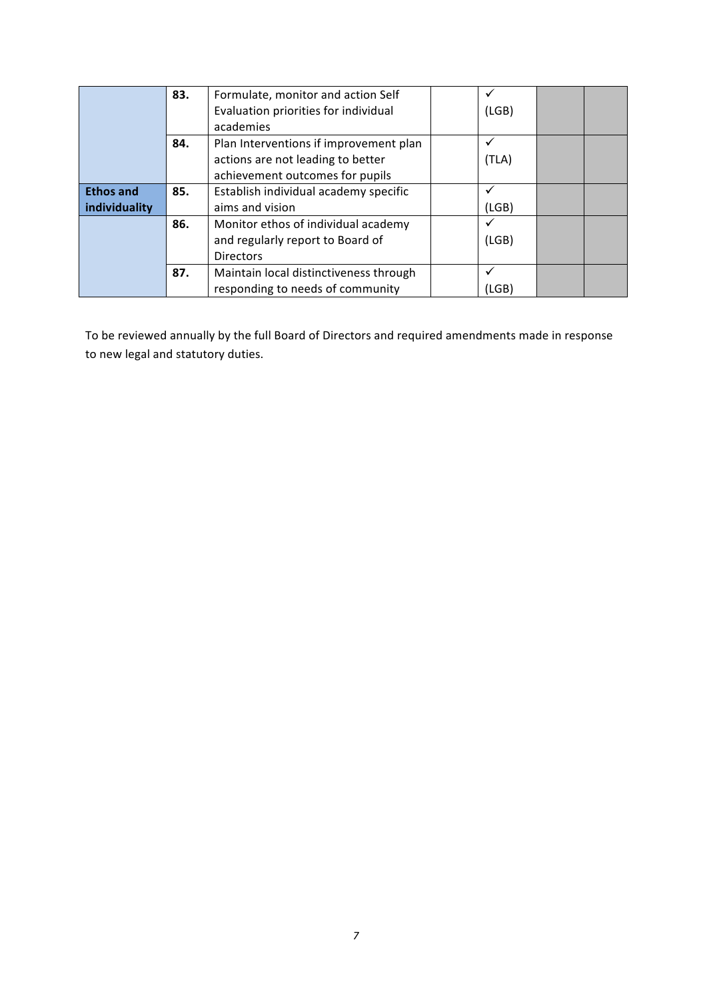|                  | 83. | Formulate, monitor and action Self     |       |  |
|------------------|-----|----------------------------------------|-------|--|
|                  |     | Evaluation priorities for individual   | (LGB) |  |
|                  |     | academies                              |       |  |
|                  | 84. | Plan Interventions if improvement plan |       |  |
|                  |     | actions are not leading to better      | (TLA) |  |
|                  |     | achievement outcomes for pupils        |       |  |
| <b>Ethos and</b> | 85. | Establish individual academy specific  |       |  |
| individuality    |     | aims and vision                        | (LGB) |  |
|                  | 86. | Monitor ethos of individual academy    |       |  |
|                  |     | and regularly report to Board of       | (LGB) |  |
|                  |     | <b>Directors</b>                       |       |  |
|                  | 87. | Maintain local distinctiveness through |       |  |
|                  |     | responding to needs of community       | (LGB) |  |

To be reviewed annually by the full Board of Directors and required amendments made in response to new legal and statutory duties.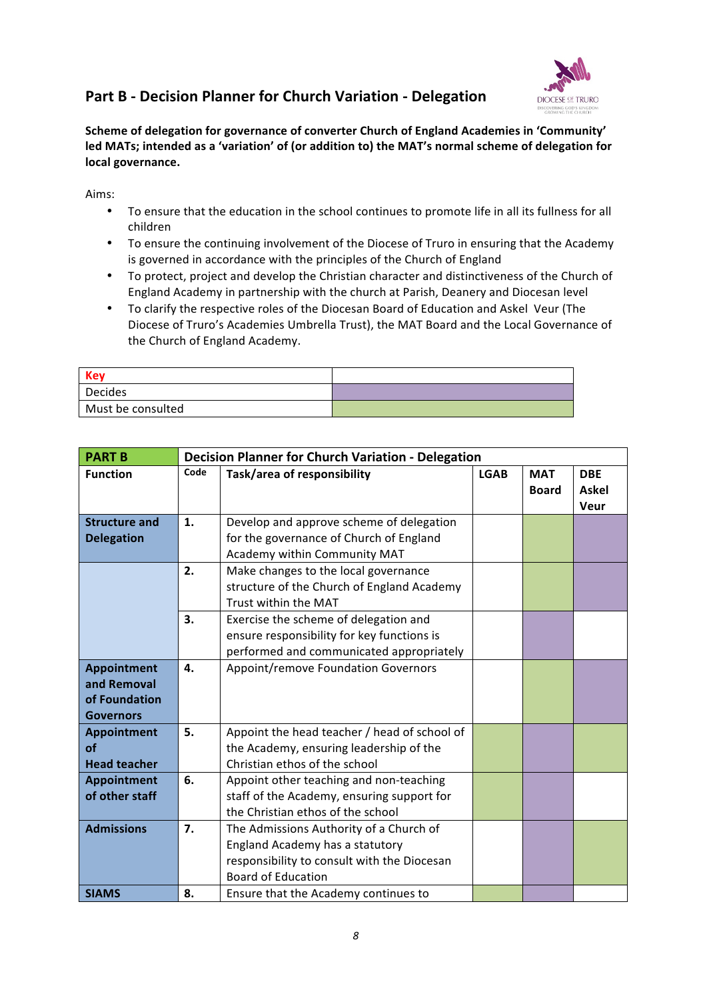#### **Part B - Decision Planner for Church Variation - Delegation**



Scheme of delegation for governance of converter Church of England Academies in 'Community' led MATs; intended as a 'variation' of (or addition to) the MAT's normal scheme of delegation for local governance.

Aims:

- To ensure that the education in the school continues to promote life in all its fullness for all children
- To ensure the continuing involvement of the Diocese of Truro in ensuring that the Academy is governed in accordance with the principles of the Church of England
- To protect, project and develop the Christian character and distinctiveness of the Church of England Academy in partnership with the church at Parish, Deanery and Diocesan level
- To clarify the respective roles of the Diocesan Board of Education and Askel Veur (The Diocese of Truro's Academies Umbrella Trust), the MAT Board and the Local Governance of the Church of England Academy.

| <b>Key</b>        |  |
|-------------------|--|
| <b>Decides</b>    |  |
| Must be consulted |  |

| <b>PART B</b>        |      | <b>Decision Planner for Church Variation - Delegation</b> |             |              |              |
|----------------------|------|-----------------------------------------------------------|-------------|--------------|--------------|
| <b>Function</b>      | Code | Task/area of responsibility                               | <b>LGAB</b> | <b>MAT</b>   | <b>DBE</b>   |
|                      |      |                                                           |             | <b>Board</b> | <b>Askel</b> |
|                      |      |                                                           |             |              | Veur         |
| <b>Structure and</b> | 1.   | Develop and approve scheme of delegation                  |             |              |              |
| <b>Delegation</b>    |      | for the governance of Church of England                   |             |              |              |
|                      |      | Academy within Community MAT                              |             |              |              |
|                      | 2.   | Make changes to the local governance                      |             |              |              |
|                      |      | structure of the Church of England Academy                |             |              |              |
|                      |      | Trust within the MAT                                      |             |              |              |
|                      | 3.   | Exercise the scheme of delegation and                     |             |              |              |
|                      |      | ensure responsibility for key functions is                |             |              |              |
|                      |      | performed and communicated appropriately                  |             |              |              |
| Appointment          | 4.   | Appoint/remove Foundation Governors                       |             |              |              |
| and Removal          |      |                                                           |             |              |              |
| of Foundation        |      |                                                           |             |              |              |
| <b>Governors</b>     |      |                                                           |             |              |              |
| Appointment          | 5.   | Appoint the head teacher / head of school of              |             |              |              |
| οf                   |      | the Academy, ensuring leadership of the                   |             |              |              |
| <b>Head teacher</b>  |      | Christian ethos of the school                             |             |              |              |
| Appointment          | 6.   | Appoint other teaching and non-teaching                   |             |              |              |
| of other staff       |      | staff of the Academy, ensuring support for                |             |              |              |
|                      |      | the Christian ethos of the school                         |             |              |              |
| <b>Admissions</b>    | 7.   | The Admissions Authority of a Church of                   |             |              |              |
|                      |      | England Academy has a statutory                           |             |              |              |
|                      |      | responsibility to consult with the Diocesan               |             |              |              |
|                      |      | <b>Board of Education</b>                                 |             |              |              |
| <b>SIAMS</b>         | 8.   | Ensure that the Academy continues to                      |             |              |              |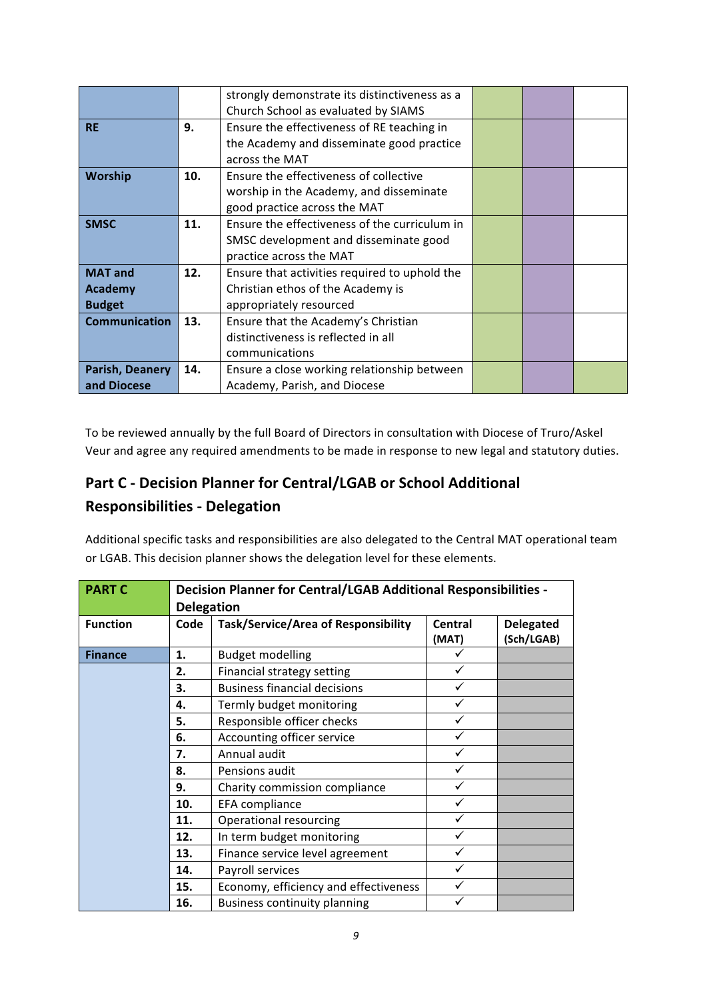|                      |     | strongly demonstrate its distinctiveness as a |  |  |
|----------------------|-----|-----------------------------------------------|--|--|
|                      |     | Church School as evaluated by SIAMS           |  |  |
| <b>RE</b>            | 9.  | Ensure the effectiveness of RE teaching in    |  |  |
|                      |     | the Academy and disseminate good practice     |  |  |
|                      |     | across the MAT                                |  |  |
| <b>Worship</b>       | 10. | Ensure the effectiveness of collective        |  |  |
|                      |     | worship in the Academy, and disseminate       |  |  |
|                      |     | good practice across the MAT                  |  |  |
| <b>SMSC</b>          | 11. | Ensure the effectiveness of the curriculum in |  |  |
|                      |     | SMSC development and disseminate good         |  |  |
|                      |     | practice across the MAT                       |  |  |
| <b>MAT</b> and       | 12. | Ensure that activities required to uphold the |  |  |
| <b>Academy</b>       |     | Christian ethos of the Academy is             |  |  |
| <b>Budget</b>        |     | appropriately resourced                       |  |  |
| <b>Communication</b> | 13. | Ensure that the Academy's Christian           |  |  |
|                      |     | distinctiveness is reflected in all           |  |  |
|                      |     | communications                                |  |  |
| Parish, Deanery      | 14. | Ensure a close working relationship between   |  |  |
| and Diocese          |     | Academy, Parish, and Diocese                  |  |  |

To be reviewed annually by the full Board of Directors in consultation with Diocese of Truro/Askel Veur and agree any required amendments to be made in response to new legal and statutory duties.

#### **Part C - Decision Planner for Central/LGAB or School Additional Responsibilities - Delegation**

Additional specific tasks and responsibilities are also delegated to the Central MAT operational team or LGAB. This decision planner shows the delegation level for these elements.

| <b>PART C</b>   |                   | <b>Decision Planner for Central/LGAB Additional Responsibilities -</b> |                  |                                |  |  |
|-----------------|-------------------|------------------------------------------------------------------------|------------------|--------------------------------|--|--|
|                 | <b>Delegation</b> |                                                                        |                  |                                |  |  |
| <b>Function</b> | Code              | Task/Service/Area of Responsibility                                    | Central<br>(MAT) | <b>Delegated</b><br>(Sch/LGAB) |  |  |
| <b>Finance</b>  | 1.                | <b>Budget modelling</b>                                                | ✓                |                                |  |  |
|                 | 2.                | Financial strategy setting                                             | ✓                |                                |  |  |
|                 | 3.                | <b>Business financial decisions</b>                                    | ✓                |                                |  |  |
|                 | 4.                | Termly budget monitoring                                               | ✓                |                                |  |  |
|                 | 5.                | Responsible officer checks                                             | ✓                |                                |  |  |
|                 | 6.                | Accounting officer service                                             |                  |                                |  |  |
|                 | 7.                | Annual audit                                                           | ✓                |                                |  |  |
|                 | 8.                | Pensions audit                                                         | ✓                |                                |  |  |
|                 | 9.                | Charity commission compliance                                          | ✓                |                                |  |  |
|                 | 10.               | EFA compliance                                                         |                  |                                |  |  |
|                 | 11.               | Operational resourcing                                                 | ✓                |                                |  |  |
|                 | 12.               | In term budget monitoring                                              | ✓                |                                |  |  |
|                 | 13.               | Finance service level agreement                                        | ✓                |                                |  |  |
|                 | 14.               | Payroll services                                                       |                  |                                |  |  |
|                 | 15.               | Economy, efficiency and effectiveness                                  | ✓                |                                |  |  |
|                 | 16.               | <b>Business continuity planning</b>                                    |                  |                                |  |  |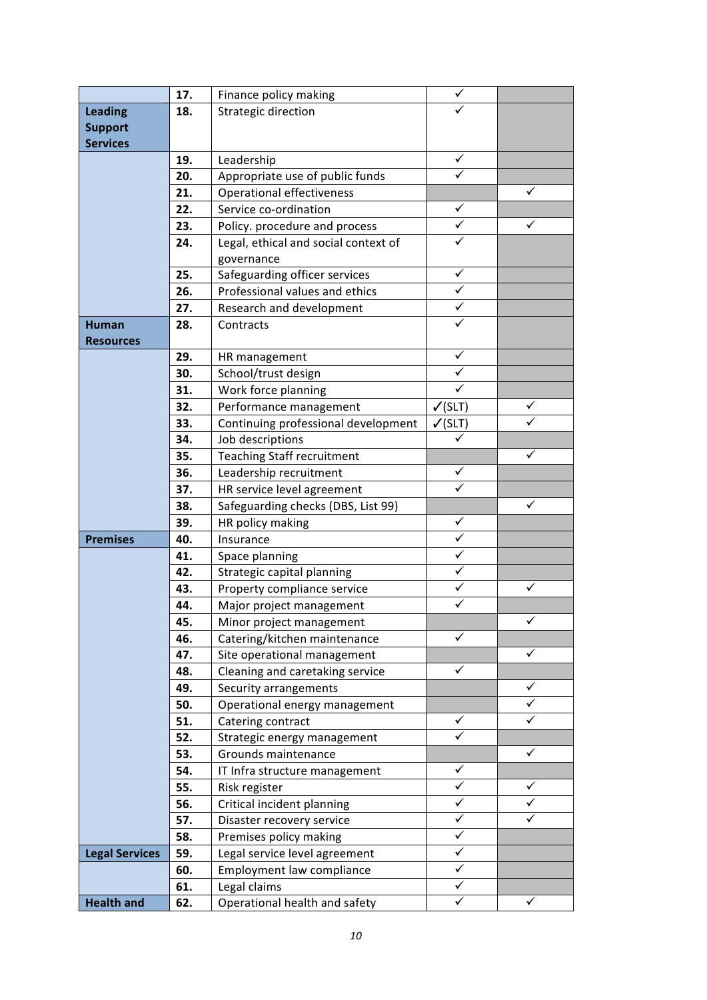|                       | 17. | Finance policy making                | $\checkmark$       |              |
|-----------------------|-----|--------------------------------------|--------------------|--------------|
| <b>Leading</b>        | 18. | Strategic direction                  |                    |              |
| <b>Support</b>        |     |                                      |                    |              |
| <b>Services</b>       |     |                                      |                    |              |
|                       | 19. | Leadership                           | ✓                  |              |
|                       | 20. | Appropriate use of public funds      | $\checkmark$       |              |
|                       | 21. | Operational effectiveness            |                    | ✓            |
|                       | 22. | Service co-ordination                | $\checkmark$       |              |
|                       | 23. | Policy. procedure and process        | ✓                  | ✓            |
|                       | 24. | Legal, ethical and social context of |                    |              |
|                       |     | governance                           |                    |              |
|                       | 25. | Safeguarding officer services        | ✓                  |              |
|                       | 26. | Professional values and ethics       | ✓                  |              |
|                       | 27. | Research and development             | $\checkmark$       |              |
| <b>Human</b>          | 28. | Contracts                            | ✓                  |              |
| <b>Resources</b>      |     |                                      |                    |              |
|                       | 29. | HR management                        | $\checkmark$       |              |
|                       | 30. | School/trust design                  | ✓                  |              |
|                       | 31. | Work force planning                  | $\checkmark$       |              |
|                       | 32. | Performance management               | $\checkmark$ (SLT) | ✓            |
|                       | 33. | Continuing professional development  | $\checkmark$ (SLT) |              |
|                       | 34. | Job descriptions                     | ✓                  |              |
|                       | 35. | <b>Teaching Staff recruitment</b>    |                    | ✓            |
|                       | 36. | Leadership recruitment               | $\checkmark$       |              |
|                       | 37. | HR service level agreement           | $\checkmark$       |              |
|                       | 38. | Safeguarding checks (DBS, List 99)   |                    | ✓            |
|                       | 39. | HR policy making                     | $\checkmark$       |              |
| <b>Premises</b>       | 40. | Insurance                            | $\checkmark$       |              |
|                       | 41. | Space planning                       | ✓                  |              |
|                       | 42. | Strategic capital planning           | $\checkmark$       |              |
|                       | 43. | Property compliance service          | $\checkmark$       | ✓            |
|                       | 44. | Major project management             | ✓                  |              |
|                       | 45. | Minor project management             |                    |              |
|                       | 46. | Catering/kitchen maintenance         | ✓                  |              |
|                       | 47. | Site operational management          |                    | ✓            |
|                       | 48. | Cleaning and caretaking service      | $\checkmark$       |              |
|                       | 49. | Security arrangements                |                    | ✓            |
|                       | 50. | Operational energy management        |                    | ✓            |
|                       | 51. | Catering contract                    | $\checkmark$       | ✓            |
|                       | 52. | Strategic energy management          | ✓                  |              |
|                       | 53. | Grounds maintenance                  |                    | $\checkmark$ |
|                       | 54. | IT Infra structure management        | $\checkmark$       |              |
|                       | 55. | Risk register                        | ✓                  | ✓            |
|                       | 56. | Critical incident planning           | ✓                  | ✓            |
|                       | 57. | Disaster recovery service            | $\checkmark$       | ✓            |
|                       | 58. | Premises policy making               | ✓                  |              |
| <b>Legal Services</b> | 59. | Legal service level agreement        | ✓                  |              |
|                       | 60. | Employment law compliance            | $\checkmark$       |              |
|                       | 61. | Legal claims                         | ✓                  |              |
| <b>Health and</b>     | 62. | Operational health and safety        | $\checkmark$       | $\checkmark$ |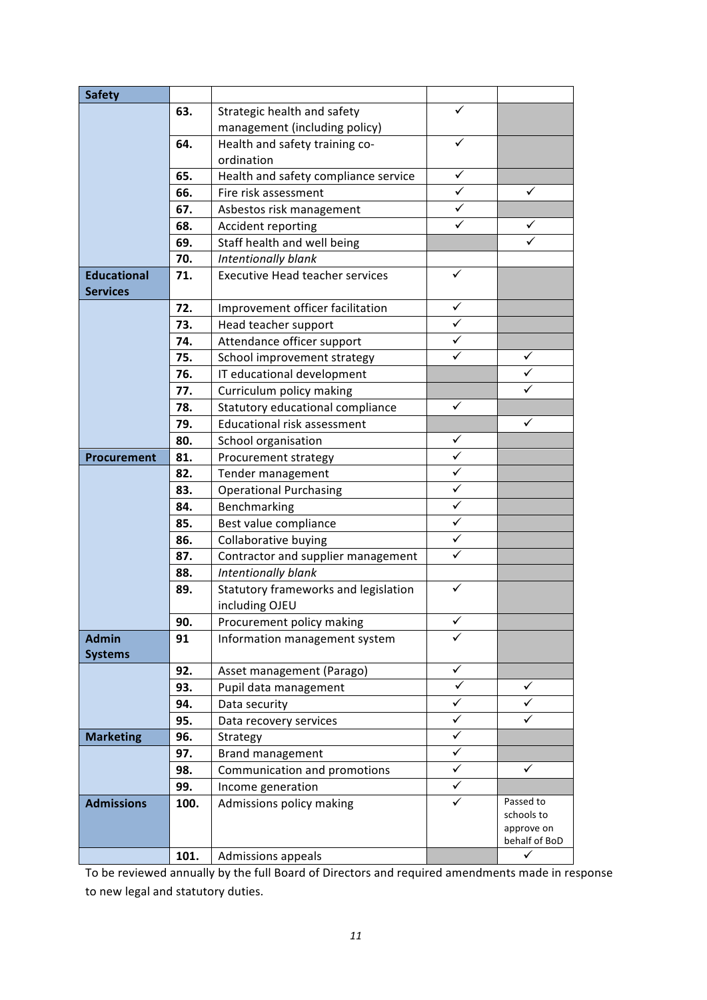| <b>Safety</b>      |      |                                        |              |                          |
|--------------------|------|----------------------------------------|--------------|--------------------------|
|                    | 63.  | Strategic health and safety            | ✓            |                          |
|                    |      | management (including policy)          |              |                          |
|                    | 64.  | Health and safety training co-         | ✓            |                          |
|                    |      | ordination                             |              |                          |
|                    | 65.  | Health and safety compliance service   | $\checkmark$ |                          |
|                    | 66.  | Fire risk assessment                   | $\checkmark$ | ✓                        |
|                    | 67.  | Asbestos risk management               | ✓            |                          |
|                    | 68.  | Accident reporting                     | ✓            | ✓                        |
|                    | 69.  | Staff health and well being            |              | ✓                        |
|                    | 70.  | Intentionally blank                    |              |                          |
| <b>Educational</b> | 71.  | <b>Executive Head teacher services</b> | ✓            |                          |
| <b>Services</b>    |      |                                        |              |                          |
|                    | 72.  | Improvement officer facilitation       | ✓            |                          |
|                    | 73.  | Head teacher support                   | $\checkmark$ |                          |
|                    | 74.  | Attendance officer support             |              |                          |
|                    | 75.  | School improvement strategy            | ✓            | ✓                        |
|                    | 76.  | IT educational development             |              | ✓                        |
|                    | 77.  | Curriculum policy making               |              |                          |
|                    | 78.  | Statutory educational compliance       | ✓            |                          |
|                    | 79.  | Educational risk assessment            |              | ✓                        |
|                    | 80.  | School organisation                    | ✓            |                          |
| Procurement        | 81.  | Procurement strategy                   | $\checkmark$ |                          |
|                    | 82.  | Tender management                      | ✓            |                          |
|                    | 83.  | <b>Operational Purchasing</b>          | $\checkmark$ |                          |
|                    | 84.  | Benchmarking                           | ✓            |                          |
|                    | 85.  | Best value compliance                  | ✓            |                          |
|                    | 86.  | Collaborative buying                   | ✓            |                          |
|                    | 87.  | Contractor and supplier management     | $\checkmark$ |                          |
|                    | 88.  | Intentionally blank                    |              |                          |
|                    | 89.  | Statutory frameworks and legislation   | ✓            |                          |
|                    |      | including OJEU                         |              |                          |
|                    | 90.  | Procurement policy making              | ✓            |                          |
| <b>Admin</b>       | 91   | Information management system          |              |                          |
| <b>Systems</b>     |      |                                        |              |                          |
|                    | 92.  | Asset management (Parago)              | ✓            |                          |
|                    | 93.  | Pupil data management                  | ✓            | ✓                        |
|                    | 94.  | Data security                          | ✓            |                          |
|                    | 95.  | Data recovery services                 | $\checkmark$ | ✓                        |
| <b>Marketing</b>   | 96.  | Strategy                               | ✓            |                          |
|                    | 97.  | Brand management                       | $\checkmark$ |                          |
|                    | 98.  | Communication and promotions           | ✓            | ✓                        |
|                    | 99.  | Income generation                      | ✓            |                          |
| <b>Admissions</b>  | 100. | Admissions policy making               | ✓            | Passed to                |
|                    |      |                                        |              | schools to<br>approve on |
|                    |      |                                        |              | behalf of BoD            |
|                    | 101. | Admissions appeals                     |              | ✓                        |

To be reviewed annually by the full Board of Directors and required amendments made in response to new legal and statutory duties.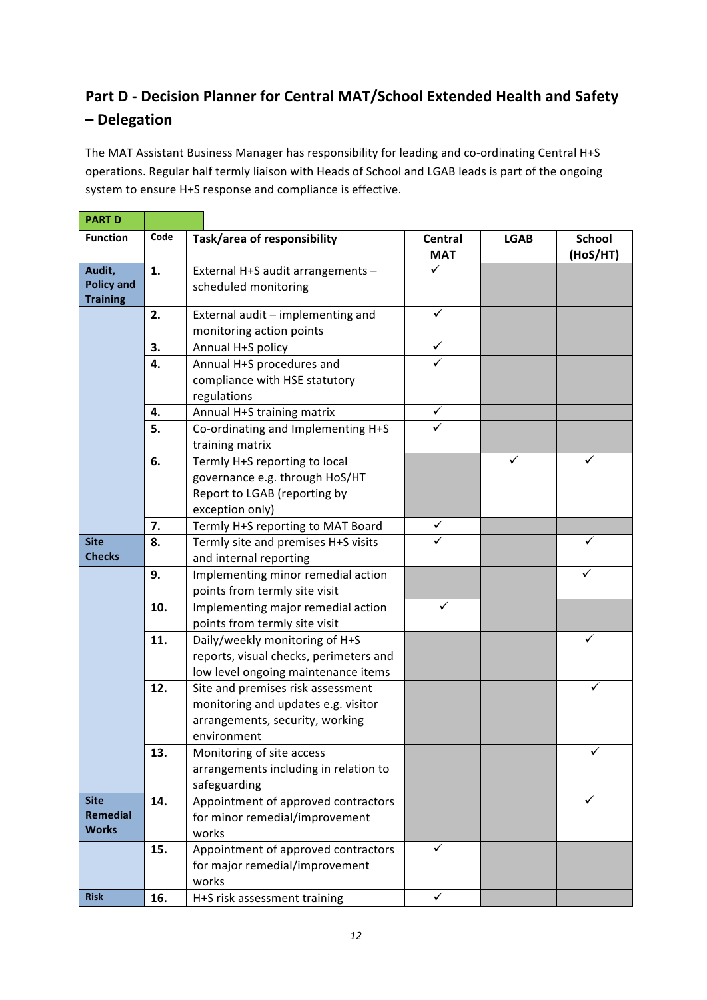### Part D - Decision Planner for Central MAT/School Extended Health and Safety **– Delegation**

The MAT Assistant Business Manager has responsibility for leading and co-ordinating Central H+S operations. Regular half termly liaison with Heads of School and LGAB leads is part of the ongoing system to ensure H+S response and compliance is effective.

| <b>PART D</b>                                  |          |                                                                                                                            |                              |             |                           |
|------------------------------------------------|----------|----------------------------------------------------------------------------------------------------------------------------|------------------------------|-------------|---------------------------|
| <b>Function</b>                                | Code     | Task/area of responsibility                                                                                                | Central<br><b>MAT</b>        | <b>LGAB</b> | <b>School</b><br>(HoS/HT) |
| Audit,<br><b>Policy and</b><br><b>Training</b> | 1.       | External H+S audit arrangements -<br>scheduled monitoring                                                                  | ✓                            |             |                           |
|                                                | 2.       | External audit - implementing and<br>monitoring action points                                                              | $\checkmark$                 |             |                           |
|                                                | 3.<br>4. | Annual H+S policy<br>Annual H+S procedures and<br>compliance with HSE statutory<br>regulations                             | ✓                            |             |                           |
|                                                | 4.<br>5. | Annual H+S training matrix<br>Co-ordinating and Implementing H+S<br>training matrix                                        | $\checkmark$<br>$\checkmark$ |             |                           |
|                                                | 6.       | Termly H+S reporting to local<br>governance e.g. through HoS/HT<br>Report to LGAB (reporting by<br>exception only)         |                              | ✓           | ✓                         |
|                                                | 7.       | Termly H+S reporting to MAT Board                                                                                          | ✓                            |             |                           |
| <b>Site</b><br><b>Checks</b>                   | 8.       | Termly site and premises H+S visits<br>and internal reporting                                                              | ✓                            |             |                           |
|                                                | 9.       | Implementing minor remedial action<br>points from termly site visit                                                        |                              |             | ✓                         |
|                                                | 10.      | Implementing major remedial action<br>points from termly site visit                                                        | ✓                            |             |                           |
|                                                | 11.      | Daily/weekly monitoring of H+S<br>reports, visual checks, perimeters and<br>low level ongoing maintenance items            |                              |             | ✓                         |
|                                                | 12.      | Site and premises risk assessment<br>monitoring and updates e.g. visitor<br>arrangements, security, working<br>environment |                              |             |                           |
|                                                | 13.      | Monitoring of site access<br>arrangements including in relation to<br>safeguarding                                         |                              |             |                           |
| <b>Site</b><br>Remedial<br><b>Works</b>        | 14.      | Appointment of approved contractors<br>for minor remedial/improvement<br>works                                             |                              |             |                           |
|                                                | 15.      | Appointment of approved contractors<br>for major remedial/improvement<br>works                                             | ✓                            |             |                           |
| <b>Risk</b>                                    | 16.      | H+S risk assessment training                                                                                               | $\checkmark$                 |             |                           |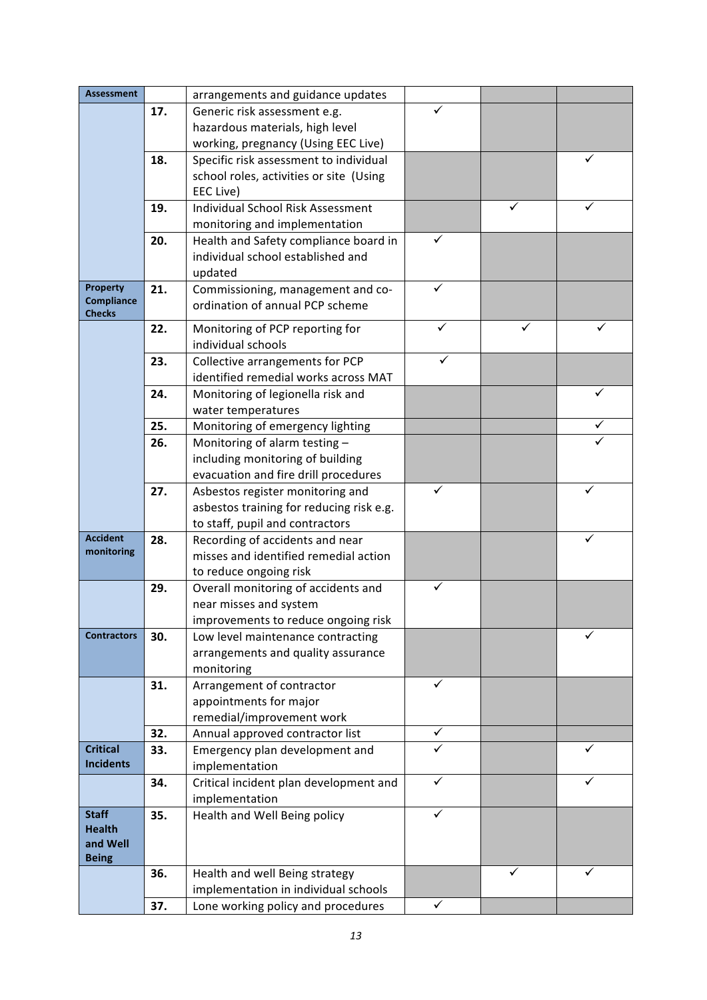| <b>Assessment</b>                    |     | arrangements and guidance updates                                        |   |  |
|--------------------------------------|-----|--------------------------------------------------------------------------|---|--|
|                                      | 17. | Generic risk assessment e.g.                                             |   |  |
|                                      |     | hazardous materials, high level                                          |   |  |
|                                      |     | working, pregnancy (Using EEC Live)                                      |   |  |
|                                      | 18. | Specific risk assessment to individual                                   |   |  |
|                                      |     | school roles, activities or site (Using                                  |   |  |
|                                      |     | EEC Live)                                                                |   |  |
|                                      | 19. | <b>Individual School Risk Assessment</b>                                 |   |  |
|                                      |     | monitoring and implementation                                            |   |  |
|                                      | 20. | Health and Safety compliance board in                                    |   |  |
|                                      |     | individual school established and                                        |   |  |
|                                      |     | updated                                                                  |   |  |
| <b>Property</b><br><b>Compliance</b> | 21. | Commissioning, management and co-                                        | ✓ |  |
| <b>Checks</b>                        |     | ordination of annual PCP scheme                                          |   |  |
|                                      | 22. | Monitoring of PCP reporting for                                          |   |  |
|                                      |     | individual schools                                                       |   |  |
|                                      | 23. | Collective arrangements for PCP                                          | ✓ |  |
|                                      |     | identified remedial works across MAT                                     |   |  |
|                                      | 24. | Monitoring of legionella risk and                                        |   |  |
|                                      |     | water temperatures                                                       |   |  |
|                                      | 25. | Monitoring of emergency lighting                                         |   |  |
|                                      | 26. | Monitoring of alarm testing -                                            |   |  |
|                                      |     | including monitoring of building                                         |   |  |
|                                      |     | evacuation and fire drill procedures                                     |   |  |
|                                      | 27. | Asbestos register monitoring and                                         | ✓ |  |
|                                      |     | asbestos training for reducing risk e.g.                                 |   |  |
| <b>Accident</b>                      |     | to staff, pupil and contractors                                          |   |  |
| monitoring                           | 28. | Recording of accidents and near<br>misses and identified remedial action |   |  |
|                                      |     | to reduce ongoing risk                                                   |   |  |
|                                      | 29. | Overall monitoring of accidents and                                      | ✓ |  |
|                                      |     | near misses and system                                                   |   |  |
|                                      |     | improvements to reduce ongoing risk                                      |   |  |
| <b>Contractors</b>                   | 30. | Low level maintenance contracting                                        |   |  |
|                                      |     | arrangements and quality assurance                                       |   |  |
|                                      |     | monitoring                                                               |   |  |
|                                      | 31. | Arrangement of contractor                                                | ✓ |  |
|                                      |     | appointments for major                                                   |   |  |
|                                      |     | remedial/improvement work                                                |   |  |
|                                      | 32. | Annual approved contractor list                                          | ✓ |  |
| <b>Critical</b>                      | 33. | Emergency plan development and                                           |   |  |
| <b>Incidents</b>                     |     | implementation                                                           |   |  |
|                                      | 34. | Critical incident plan development and                                   | ✓ |  |
|                                      |     | implementation                                                           |   |  |
| <b>Staff</b><br><b>Health</b>        | 35. | Health and Well Being policy                                             |   |  |
| and Well                             |     |                                                                          |   |  |
| <b>Being</b>                         |     |                                                                          |   |  |
|                                      | 36. | Health and well Being strategy                                           |   |  |
|                                      |     | implementation in individual schools                                     |   |  |
|                                      | 37. | Lone working policy and procedures                                       | ✓ |  |